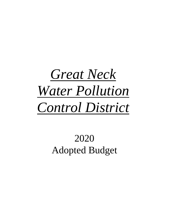## *Great Neck Water Pollution Control District*

## 2020 Adopted Budget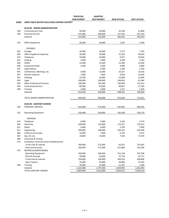|              |                                                    | <b>TENTATIVE</b> | <b>ADOPTED</b> |             |             |
|--------------|----------------------------------------------------|------------------|----------------|-------------|-------------|
|              |                                                    | 2020 BUDGET      | 2019 BUDGET    | 2018 ACTUAL | 2017 ACTUAL |
| <b>SS382</b> | <b>GREAT NECK WATER POLLUTION CONTROL DISTRICT</b> |                  |                |             |             |
|              | 8110-00 - SEWER ADMINISTRATION                     |                  |                |             |             |
| 100          | <b>Commissioners Fees</b>                          | 50,000           | 50,000         | 42,700      | 41,800      |
| 100          | <b>Personal Services</b>                           | 475,000          | 460,000        | 417,501     | 397,543     |
|              | Subtotal                                           | 525,000          | 510,000        | 460,201     | 439,343     |
|              |                                                    |                  |                |             |             |
| 210          | Office Equipment                                   | 20,000           | 20,000         | 7,353       | 5,784       |
|              | <b>EXPENSES</b>                                    |                  |                |             |             |
| 402          | Postage                                            | 10,000           | 10,000         | 7,577       | 7,476       |
| 404          | Office Supplies & Expenses                         | 30,000           | 30,000         | 31,305      | 30,493      |
| 419          | Telephone                                          | 10,000           | 10,000         | 6,977       | 10,834      |
| 422          | Heating                                            | 5,000            | 5,000          | 4,448       | 3,363       |
| 430          | <b>SPDES</b>                                       | 15,500           | 15,500         | 15,500      | 15,500      |
| 440          | <b>Assessment Rolls</b>                            | 4,500            | 4,500          | 4,000       | 4,000       |
| 441          | Legal Notices                                      |                  | 2,000          | 1,189       | 1,536       |
| 445          | Conferences, Meetings, etc.                        | 4,000            | 12,000         | 10,257      | 10,520      |
| 447          | <b>Election Expense</b>                            | 7,000            | 7,000          | 4,594       | 10,249      |
| 452          | Auditing                                           | 25,500           | 24,000         | 22,000      | 22,000      |
| 454          | Legal                                              | 100,000          | 100,000        | 100,816     | 61,084      |
| 458          | <b>Other Professional Services</b>                 | 160,000          | 145,000        | 149,400     | 121,412     |
| 493          | <b>Contractual Services</b>                        | 80,000           | 50,000         | 48,857      | 27,583      |
| 498          | Training                                           | 3,000            | 3,000          | 1,371       | 2,435       |
|              | Subtotal                                           | 454,500          | 418,000        | 408,291     | 328,485     |
|              | TOTAL SEWER ADMINISTRATION                         | 999,500          | 948,000        | 875,845     | 773,612     |
|              |                                                    |                  |                |             |             |
|              | 8120-00 - SANITARY SEWERS                          |                  |                |             |             |
| 100          | PERSONAL SERVICES                                  | 810,000          | 575,000        | 435,992     | 469,345     |
| 225          | <b>Operating Equipment</b>                         | 250,000          | 250,000        | 165,928     | 539,176     |
|              | <b>EXPENSES</b>                                    |                  |                |             |             |
| 419          | Telephone                                          | 6,000            | 4,000          | 2,424       | 3,574       |
| 420          | Electricity                                        | 200,000          | 210,000        | 172,417     | 170,437     |
| 421          | Water                                              | 6,000            | 6,000          | 5,783       | 5,990       |
| 451          | Engineering                                        | 200,000          | 200,000        | 230,231     | 165,448     |
| 466          | Uniforms & Laundry                                 | 10,000           | 7,000          | 6,793       | 6,472       |
| 467          | Gas, Oil, etc.                                     | 20,000           | 15,000         | 7,018       | 17,670      |
| 468          | Chemicals & Testing                                |                  |                |             |             |
| 473          | Installation, Reconstruction & Replacement         |                  |                |             |             |
|              | Trunk Lines & Laterals                             | 260,000          | 275,000        | 62,811      | 152,601     |
|              | <b>Plant and Grounds</b>                           | 200,000          |                |             |             |
|              |                                                    |                  | 575,000        | 515,860     | 142,294     |
| 475          | REPAIRS & MAINTENANCE                              |                  |                |             |             |
|              | <b>Operating Equipment</b>                         | 350,000          | 300,000        | 351,528     | 507,296     |
|              | Plant & Grounds                                    | 50,000           | 50,000         | 52,724      | 42,711      |
|              | Trunk Lines & Laterals                             | 250,000          | 100,000        | 399,250     | 409,808     |
|              | Alarm System                                       | 35,000           | 30,000         | 26,806      | 25,342      |
| 498          | <b>Training</b>                                    | 35,000           | 25,000         | 21,347      | 1,360       |
|              | Subtotal                                           | 1,622,000        | 1,797,000      | 1,854,992   | 1,651,003   |
|              | TOTAL SANITARY SEWERS                              | 2,682,000        | 2,622,000      | 2,456,912   | 2,659,524   |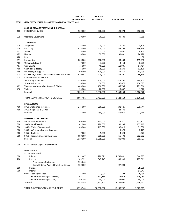|              |                                                            | <b>TENTATIVE</b> | <b>ADOPTED</b> |                  |             |
|--------------|------------------------------------------------------------|------------------|----------------|------------------|-------------|
|              |                                                            | 2020 BUDGET      | 2019 BUDGET    | 2018 ACTUAL      | 2017 ACTUAL |
| <b>SS382</b> | <b>GREAT NECK WATER POLLUTION CONTROL DISTRICT (cont.)</b> |                  |                |                  |             |
|              | 8130-00 - SEWAGE TREATMENT & DISPOSAL                      |                  |                |                  |             |
| 100          | PERSONAL SERVICES                                          | 530,000          | 600,000        | 529,073          | 516,366     |
| 225          | <b>Operating Equipment</b>                                 | 20,000           | 20,000         | 39,480           | 7,889       |
|              |                                                            |                  |                |                  |             |
| 419          | <b>EXPENSES</b><br>Telephone                               | 4,000            | 3,000          | 1,760            | 3,108       |
| 420          | Electricity                                                | 425,000          | 400,000        | 349,793          | 336,919     |
| 421          | Water                                                      | 5,000            | 5,000          | 2,457            | 4,159       |
| 422          | Heating                                                    | 10,000           | 32,000         | 31,491           | 26,478      |
| 428          | Rent                                                       |                  |                |                  | 90          |
| 451          | Engineering                                                | 200,000          | 200,000        | 193,480          | 155,998     |
| 466          | Uniforms & Laundry                                         | 7,000            | 7,000          | 4,454            | 6,089       |
| 467          | Gas, Oil, etc.                                             | 75,000           | 40,000         | 118,985          | 64,464      |
| 468          | <b>Chemicals &amp; Testing</b>                             | 75,000           | 75,000         | 58,230           | 62,130      |
| 469          | Lab Testing & Supplies                                     | 100,000          | 100,000        | 68,250           | 83,299      |
| 473          | Installation, Reconst. Replacement-Plant & Ground.         | 529,451          | 200,000        | 856,201          | 85,848      |
| 475          | <b>REPAIRS &amp; MAINTENANCE</b>                           |                  |                |                  |             |
|              | <b>Operating Equipment</b>                                 | 350,000          | 300,000        | 418,197          | 389,905     |
|              | Plant & Grounds                                            | 50,000           | 50,000         | 130,670          | 106,397     |
| 483          | Treatment & Disposal of Sewage & Sludge                    | 400,000          | 400,000        | 305,785          | 279,866     |
| 498          | Training                                                   | 25,000           | 20,000         | 13,807           | 1,320       |
|              | Subtotal                                                   | 2,255,451        | 1,832,000      | 2,553,560        | 1,606,070   |
|              |                                                            |                  |                |                  |             |
|              | TOTAL SEWAGE TREATMENT & DISPOSAL                          | 2,805,451        | 2,452,000      | 3,122,113        | 2,130,325   |
|              | <b>SPECIAL ITEMS</b>                                       |                  |                |                  |             |
| 400          | 1910-Unallocated Insurance                                 | 275,000          | 250,000        | 231,625          | 221,744     |
| 460          | 1910-Judgments & Claims                                    |                  |                | 24,430           |             |
|              | Subtotal                                                   | 275,000          | 250,000        | 256,055          | 221,744     |
|              | <b>BENEFITS &amp; DEBT SERVICE</b>                         |                  |                |                  |             |
| 800          | 9010 - State Retirement                                    | 200,000          | 225,000        | 178,371          | 177,701     |
| 800          | 9030 - Social Security                                     | 142,000          | 120,000        | 101,205          | 103,412     |
| 800          | 9040 - Workers' Compensation                               | 80,000           | 115,000        | 90,820           | 91,390      |
| 800          | 9050 - NYS Unemployment Insurance                          |                  |                | 9,570            | 2,175       |
| 800          | 9055 - Disability                                          | 7,000            | 5,000          |                  | 4,377       |
| 800          | 9060 - Hospital & Medical Insurance                        | 690,000          | 600,000        | 4,624<br>455,490 | 502,682     |
|              | Subtotal                                                   | 1,119,000        | 1,065,000      | 840,080          | 881,737     |
|              |                                                            |                  |                |                  |             |
| 900          | 9550 Transfer, Capital Projects Fund                       |                  |                |                  |             |
|              | <b>DEBT SERVICE</b>                                        |                  |                |                  |             |
|              | 9710 - Serial Bonds                                        |                  |                |                  |             |
| 600          | Principal                                                  | 2,011,447        | 1,720,871      | 1,709,441        | 1,644,985   |
| 700          | Interest                                                   | 1,189,322        | 847,745        | 903,990          | 775,611     |
|              | Premiums on Obligations                                    | (355, 240)       |                |                  |             |
|              | Capital Interest Applied from Debt Service                 | (100,000)        |                | (27,000)         |             |
| 600          | Principal                                                  |                  |                |                  | 25,000      |
| 700          | Interest                                                   |                  |                |                  | 54,847      |
|              | 9901 - Fiscal Agent Fees                                   | 1,000            | 1,000          | 192              | 6,234       |
|              | <b>Administration Charges (NYSEFC)</b>                     | 108,274          | 112,186        | 116,074          | 119,950     |
|              | Administration Charges (TNH)                               | 40,786           | 40,000         | 35,000           | 30,000      |
|              | Subtotal                                                   | 2,895,589        | 2,721,802      | 2,737,697        | 2,656,627   |
|              |                                                            |                  |                |                  |             |
|              | TOTAL BUDGETED/ACTUAL EXPENDITURES                         | 10,776,540       | 10,058,802     | 10,288,702       | 9,323,569   |